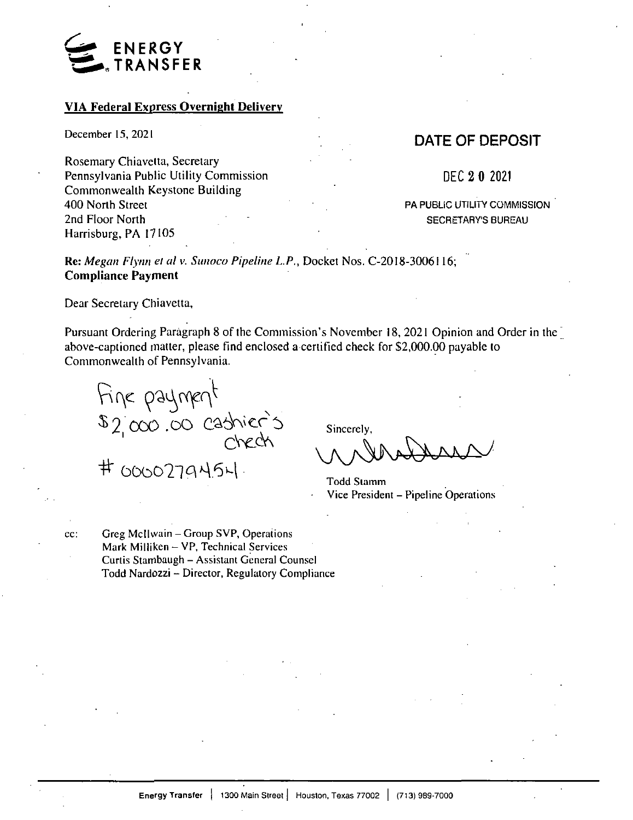

## **VIA Federal Express Overnight Delivery**

Rosemary Chiavetta, Secretary Pennsylvania Public Utility Commission Commonwealth Keystone Building 400 North Street 2nd Floor North Harrisburg, PA 17105

## December 15, 2021 December 15, 2021

DEC **2 0** 2021

PA PUBLIC UTILITY COMMISSION SECRETARY'S BUREAU

**Re:** *Megan Flynn el al v. Sunoco Pipeline L.P.,* Docket Nos. C-2018-3006116; **Compliance Payment**

Dear Secretary Chiavetta,

Pursuant Ordering Paragraph 8 of the Commission's November <sup>1</sup>8, 2021 Opinion and Order in the' above-captioned matter, please find enclosed a certified check for \$2,000.00 payable to Commonwealth of Pennsylvania.

 $F^{\prime\prime}$  $2 \cos 0$  cashier

 $#$  0000779454.

Sincerely,

Todd Stamm Vice President - Pipeline Operations

cc:

Greg McIlwain - Group SVP, Operations Mark Milliken - VP, Technical Services Curtis Stambaugh - Assistant General Counsel Todd Nardozzi - Director, Regulatory Compliance